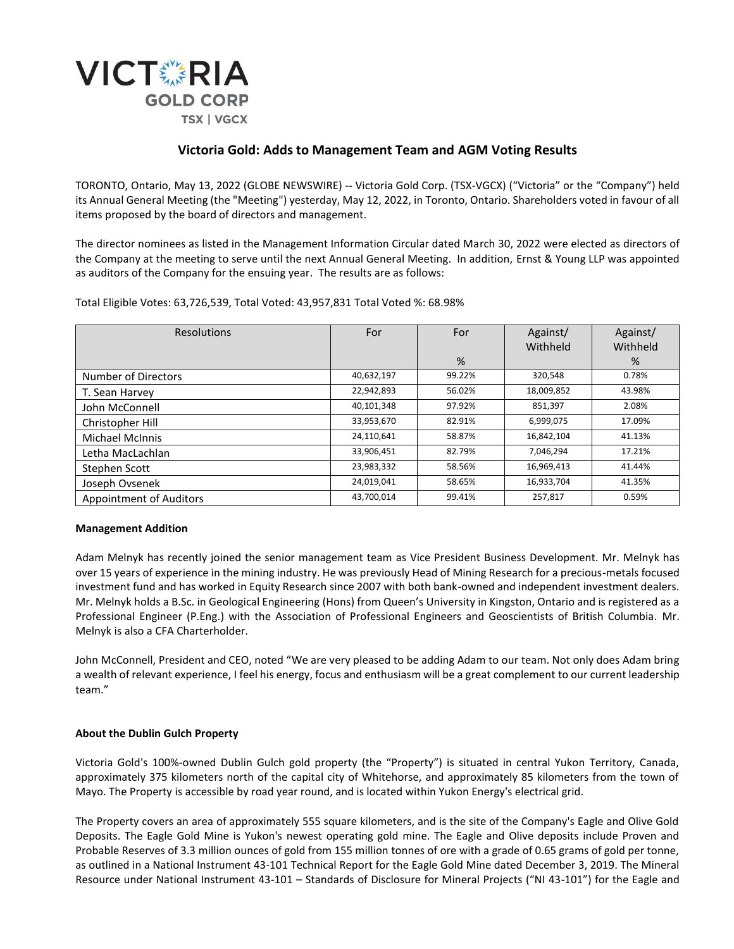

# **Victoria Gold: Adds to Management Team and AGM Voting Results**

TORONTO, Ontario, May 13, 2022 (GLOBE NEWSWIRE) -- Victoria Gold Corp. (TSX-VGCX) ("Victoria" or the "Company") held its Annual General Meeting (the "Meeting") yesterday, May 12, 2022, in Toronto, Ontario. Shareholders voted in favour of all items proposed by the board of directors and management.

The director nominees as listed in the Management Information Circular dated March 30, 2022 were elected as directors of the Company at the meeting to serve until the next Annual General Meeting. In addition, Ernst & Young LLP was appointed as auditors of the Company for the ensuing year. The results are as follows:

Total Eligible Votes: 63,726,539, Total Voted: 43,957,831 Total Voted %: 68.98%

| <b>Resolutions</b>             | For        | For    | Against/   | Against/ |
|--------------------------------|------------|--------|------------|----------|
|                                |            |        | Withheld   | Withheld |
|                                |            | $\%$   |            | %        |
| Number of Directors            | 40,632,197 | 99.22% | 320.548    | 0.78%    |
| T. Sean Harvey                 | 22,942,893 | 56.02% | 18,009,852 | 43.98%   |
| John McConnell                 | 40,101,348 | 97.92% | 851,397    | 2.08%    |
| Christopher Hill               | 33,953,670 | 82.91% | 6,999,075  | 17.09%   |
| <b>Michael McInnis</b>         | 24,110,641 | 58.87% | 16,842,104 | 41.13%   |
| Letha MacLachlan               | 33,906,451 | 82.79% | 7,046,294  | 17.21%   |
| Stephen Scott                  | 23,983,332 | 58.56% | 16,969,413 | 41.44%   |
| Joseph Ovsenek                 | 24,019,041 | 58.65% | 16,933,704 | 41.35%   |
| <b>Appointment of Auditors</b> | 43,700,014 | 99.41% | 257,817    | 0.59%    |

## **Management Addition**

Adam Melnyk has recently joined the senior management team as Vice President Business Development. Mr. Melnyk has over 15 years of experience in the mining industry. He was previously Head of Mining Research for a precious-metals focused investment fund and has worked in Equity Research since 2007 with both bank-owned and independent investment dealers. Mr. Melnyk holds a B.Sc. in Geological Engineering (Hons) from Queen's University in Kingston, Ontario and is registered as a Professional Engineer (P.Eng.) with the Association of Professional Engineers and Geoscientists of British Columbia. Mr. Melnyk is also a CFA Charterholder.

John McConnell, President and CEO, noted "We are very pleased to be adding Adam to our team. Not only does Adam bring a wealth of relevant experience, I feel his energy, focus and enthusiasm will be a great complement to our current leadership team."

## **About the Dublin Gulch Property**

Victoria Gold's 100%-owned Dublin Gulch gold property (the "Property") is situated in central Yukon Territory, Canada, approximately 375 kilometers north of the capital city of Whitehorse, and approximately 85 kilometers from the town of Mayo. The Property is accessible by road year round, and is located within Yukon Energy's electrical grid.

The Property covers an area of approximately 555 square kilometers, and is the site of the Company's Eagle and Olive Gold Deposits. The Eagle Gold Mine is Yukon's newest operating gold mine. The Eagle and Olive deposits include Proven and Probable Reserves of 3.3 million ounces of gold from 155 million tonnes of ore with a grade of 0.65 grams of gold per tonne, as outlined in a National Instrument 43-101 Technical Report for the Eagle Gold Mine dated December 3, 2019. The Mineral Resource under National Instrument 43-101 – Standards of Disclosure for Mineral Projects ("NI 43-101") for the Eagle and